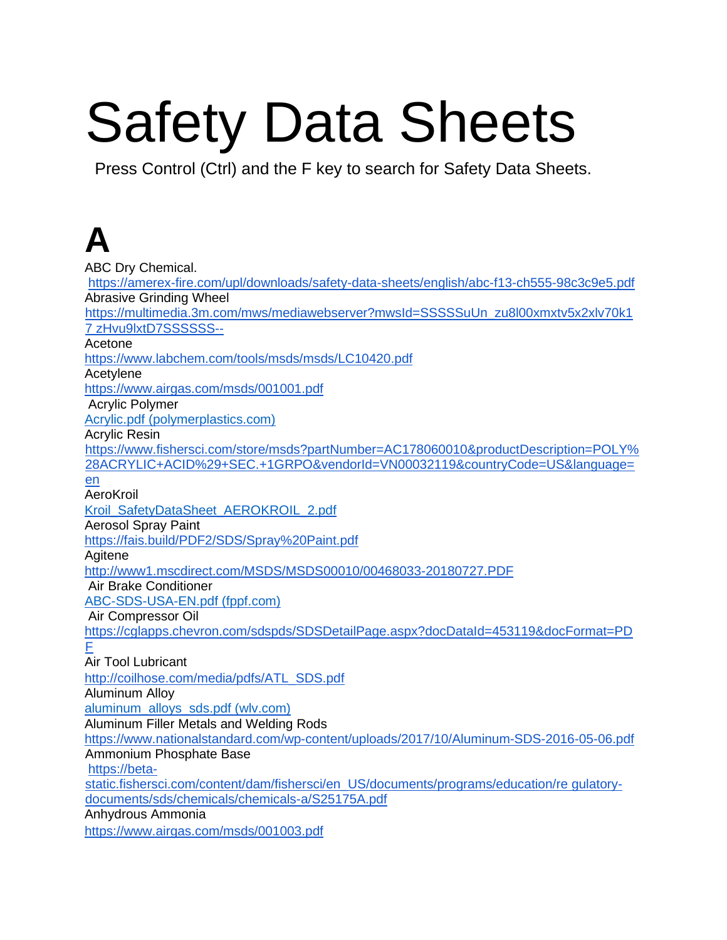# Safety Data Sheets

Press Control (Ctrl) and the F key to search for Safety Data Sheets.

# **A**

ABC Dry Chemical. <https://amerex-fire.com/upl/downloads/safety-data-sheets/english/abc-f13-ch555-98c3c9e5.pdf> Abrasive Grinding Wheel [https://multimedia.3m.com/mws/mediawebserver?mwsId=SSSSSuUn\\_zu8l00xmxtv5x2xlv70k1](https://multimedia.3m.com/mws/mediawebserver?mwsId=SSSSSuUn_zu8l00xmxtv5x2xlv70k17zHvu9lxtD7SSSSSS--) [7 zHvu9lxtD7SSSSSS--](https://multimedia.3m.com/mws/mediawebserver?mwsId=SSSSSuUn_zu8l00xmxtv5x2xlv70k17zHvu9lxtD7SSSSSS--) Acetone https://www.labchem.com/tools/msds/msds/LC10420.pd[f](https://beta-static.fishersci.com/content/dam/fishersci/en_US/documents/programs/education/regulatory-documents/sds/chemicals/chemicals-a/S25120B.pdf) **Acetylene** <https://www.airgas.com/msds/001001.pdf> Acrylic Polymer [Acrylic.pdf \(polymerplastics.com\)](https://www.polymerplastics.com/images/msds_sheets/Acrylic.pdf) Acrylic Resin [https://www.fishersci.com/store/msds?partNumber=AC178060010&productDescription=POLY%](https://www.fishersci.com/store/msds?partNumber=AC178060010&productDescription=POLY%28ACRYLIC+ACID%29+SEC.+1GRPO&vendorId=VN00032119&countryCode=US&language=en)  [28ACRYLIC+ACID%29+SEC.+1GRPO&vendorId=VN00032119&countryCode=US&language=](https://www.fishersci.com/store/msds?partNumber=AC178060010&productDescription=POLY%28ACRYLIC+ACID%29+SEC.+1GRPO&vendorId=VN00032119&countryCode=US&language=en)  [en](https://www.fishersci.com/store/msds?partNumber=AC178060010&productDescription=POLY%28ACRYLIC+ACID%29+SEC.+1GRPO&vendorId=VN00032119&countryCode=US&language=en) AeroKroil [Kroil\\_SafetyDataSheet\\_AEROKROIL\\_2.pdf](https://www.kroil.com/wp-content/themes/kroil/assets/downloads/Kroil_SafetyDataSheet_AEROKROIL_2.pdf) Aerosol Spray Paint <https://fais.build/PDF2/SDS/Spray%20Paint.pdf> **Agitene** <http://www1.mscdirect.com/MSDS/MSDS00010/00468033-20180727.PDF> Air Brake Conditioner [ABC-SDS-USA-EN.pdf \(fppf.com\)](https://fppf.com/wp-content/uploads/2020/06/ABC-SDS-USA-EN.pdf) [A](https://fppf.com/wp-content/uploads/2019/04/FPPF001-Air-Brake-Conditioner-SDS-EN.pdf)ir Compressor Oil [https://cglapps.chevron.com/sdspds/SDSDetailPage.aspx?docDataId=453119&docFormat=PD](https://cglapps.chevron.com/sdspds/SDSDetailPage.aspx?docDataId=453119&docFormat=PDF)  [F](https://cglapps.chevron.com/sdspds/SDSDetailPage.aspx?docDataId=453119&docFormat=PDF) Air Tool Lubricant [http://coilhose.com/media/pdfs/ATL\\_SDS.pdf](http://coilhose.com/media/pdfs/ATL_SDS.pdf) Aluminum Alloy [aluminum\\_alloys\\_sds.pdf \(wlv.com\)](https://www.wlv.com/wp-content/uploads/2015/06/aluminum_alloys_sds.pdf) Aluminum Filler Metals and Welding Rods <https://www.nationalstandard.com/wp-content/uploads/2017/10/Aluminum-SDS-2016-05-06.pdf> Ammonium Phosphate Base [https://beta](https://beta-static.fishersci.com/content/dam/fishersci/en_US/documents/programs/education/regulatory-documents/sds/chemicals/chemicals-a/S25175A.pdf)[static.fishersci.com/content/dam/fishersci/en\\_US/documents/programs/education/re gulatory](https://beta-static.fishersci.com/content/dam/fishersci/en_US/documents/programs/education/regulatory-documents/sds/chemicals/chemicals-a/S25175A.pdf)[documents/sds/chemicals/chemicals-a/S25175A.pdf](https://beta-static.fishersci.com/content/dam/fishersci/en_US/documents/programs/education/regulatory-documents/sds/chemicals/chemicals-a/S25175A.pdf) Anhydrous Ammonia <https://www.airgas.com/msds/001003.pdf>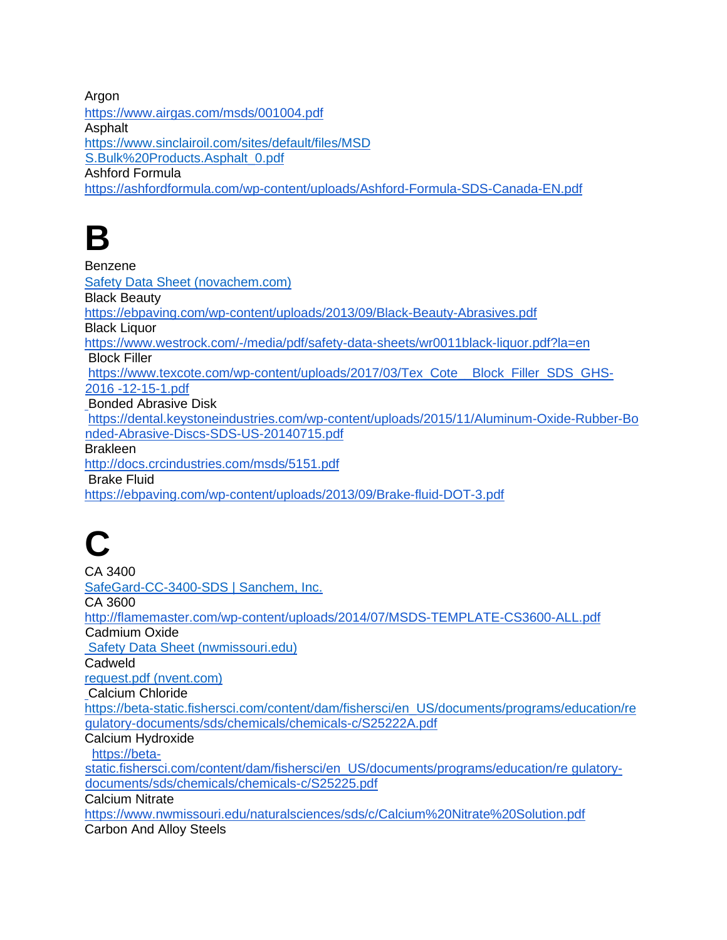Argon

<https://www.airgas.com/msds/001004.pdf> **Asphalt** [https://www.sinclairoil.com/sites/default/files/MSD](https://www.sinclairoil.com/sites/default/files/MSDS.Bulk%20Products.Asphalt_0.pdf) [S.Bulk%20Products.Asphalt\\_0.pdf](https://www.sinclairoil.com/sites/default/files/MSDS.Bulk%20Products.Asphalt_0.pdf) Ashford Formula <https://ashfordformula.com/wp-content/uploads/Ashford-Formula-SDS-Canada-EN.pdf>

**B** 

Benzene [Safety Data Sheet \(novachem.com\)](http://www.novachem.com/wp-content/uploads/Benzene_SDS_AMER_CAEN.pdf#:%7E:text=Benzene%20Other%20means%20of%20identification%20Common,name%28s%29%2C%20synonym%28s%29%3A%20SDS%20number%3A%20Benzene%2C%20benzol) Black Beauty <https://ebpaving.com/wp-content/uploads/2013/09/Black-Beauty-Abrasives.pdf> Black Liquor <https://www.westrock.com/-/media/pdf/safety-data-sheets/wr0011black-liquor.pdf?la=en> Block Filler [https://www.texcote.com/wp-content/uploads/2017/03/Tex\\_Cote\\_\\_Block\\_Filler\\_SDS\\_GHS-](https://www.texcote.com/wp-content/uploads/2017/03/Tex_Cote__Block_Filler_SDS_GHS-2016-12-15-1.pdf)[2016 -12-15-1.pdf](https://www.texcote.com/wp-content/uploads/2017/03/Tex_Cote__Block_Filler_SDS_GHS-2016-12-15-1.pdf) Bonded Abrasive Disk [https://dental.keystoneindustries.com/wp-content/uploads/2015/11/Aluminum-Oxide-Rubber-Bo](https://dental.keystoneindustries.com/wp-content/uploads/2015/11/Aluminum-Oxide-Rubber-Bonded-Abrasive-Discs-SDS-US-20140715.pdf)  [nded-Abrasive-Discs-SDS-US-20140715.pdf](https://dental.keystoneindustries.com/wp-content/uploads/2015/11/Aluminum-Oxide-Rubber-Bonded-Abrasive-Discs-SDS-US-20140715.pdf) Brakleen <http://docs.crcindustries.com/msds/5151.pdf> [B](http://docs.crcindustries.com/msds/5151.pdf)rake Fluid <https://ebpaving.com/wp-content/uploads/2013/09/Brake-fluid-DOT-3.pdf>

**C** 

CA 3400 [SafeGard-CC-3400-SDS | Sanchem, Inc.](https://www.sanchem.com/docs/SDS-Sheets/SafeGard-CC-3400-SDS.pdf) CA 3600 <http://flamemaster.com/wp-content/uploads/2014/07/MSDS-TEMPLATE-CS3600-ALL.pdf> Cadmium Oxide [Safety Data Sheet \(nwmissouri.edu\)](http://www.dcfinechemicals.com/files2/Hojas%20de%20seguridad%20(EN)/102670-SDS-EN.pdf) **Cadweld** [request.pdf \(nvent.com\)](https://www.nvent.com/sites/default/files/acquiadam/assets/CADWELD_US.pdf) Calcium Chloride [https://beta-static.fishersci.com/content/dam/fishersci/en\\_US/documents/programs/education/re](https://beta-static.fishersci.com/content/dam/fishersci/en_US/documents/programs/education/re)  [gulatory-documents/sds/chemicals/chemicals-c/S25222A.pdf](https://beta-static.fishersci.com/content/dam/fishersci/en_US/documents/programs/education/regulatory-documents/sds/chemicals/chemicals-c/S25222A.pdf) Calcium Hydroxide [https://beta](https://beta-static.fishersci.com/content/dam/fishersci/en_US/documents/programs/education/regulatory-documents/sds/chemicals/chemicals-c/S25225.pdf)[static.fishersci.com/content/dam/fishersci/en\\_US/documents/programs/education/re gulatory](https://beta-static.fishersci.com/content/dam/fishersci/en_US/documents/programs/education/regulatory-documents/sds/chemicals/chemicals-c/S25225.pdf)[documents/sds/chemicals/chemicals-c/S25225.pdf](https://beta-static.fishersci.com/content/dam/fishersci/en_US/documents/programs/education/regulatory-documents/sds/chemicals/chemicals-c/S25225.pdf) Calcium Nitrate <https://www.nwmissouri.edu/naturalsciences/sds/c/Calcium%20Nitrate%20Solution.pdf> Carbon And Alloy Steels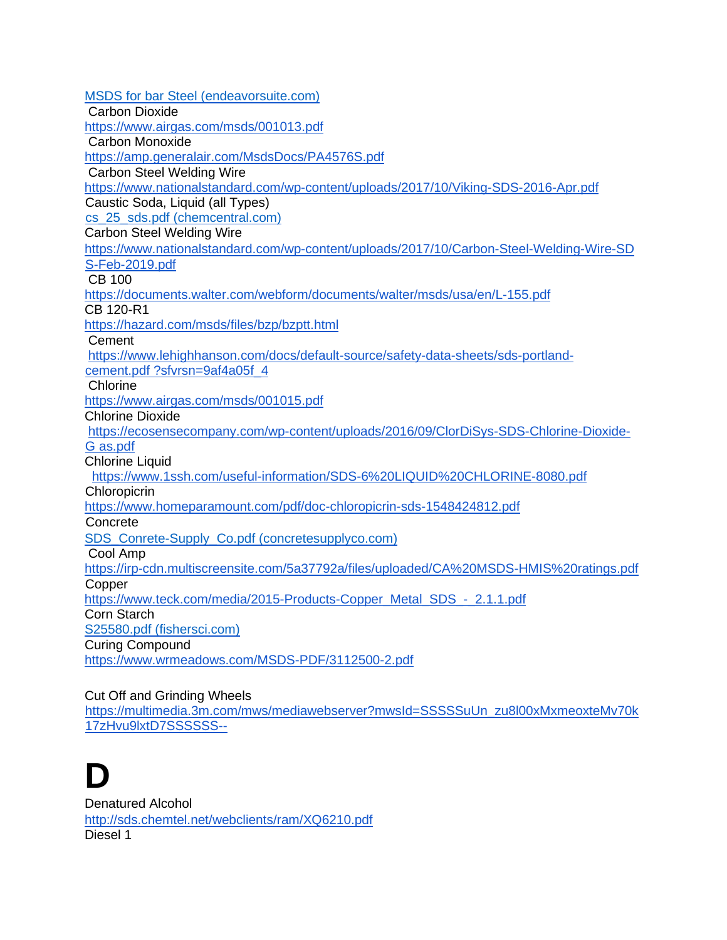[MSDS for bar Steel \(endeavorsuite.com\)](https://cdnmedia.endeavorsuite.com/images/organizations/73bcb1bd-4c31-496d-9bf3-1837c798a617/SDS-Bar%20Steel-2019.pdf) [C](https://www.gerdau.com/northamerica/en/productsservices/Documents/GLN%20Certifications/MSDS/Safety%20Data%20Sheets/SDS%20(USA%20ENG)/Carbon_and_Alloy_Steels.pdf)arbon Dioxide <https://www.airgas.com/msds/001013.pdf> Carbon Monoxide <https://amp.generalair.com/MsdsDocs/PA4576S.pdf> Carbon Steel Welding Wire <https://www.nationalstandard.com/wp-content/uploads/2017/10/Viking-SDS-2016-Apr.pdf> Caustic Soda, Liquid (all Types) [cs\\_25\\_sds.pdf \(chemcentral.com\)](https://www.chemcentral.com/media/product_attribute/sds_file/c/s/cs_25_sds.pdf) Carbon Steel Welding Wire [https://www.nationalstandard.com/wp-content/uploads/2017/10/Carbon-Steel-Welding-Wire-SD](https://www.nationalstandard.com/wp-content/uploads/2017/10/Carbon-Steel-Welding-Wire-SDS-Feb-2019.pdf)  [S-Feb-2019.pdf](https://www.nationalstandard.com/wp-content/uploads/2017/10/Carbon-Steel-Welding-Wire-SDS-Feb-2019.pdf) [C](https://www.nationalstandard.com/wp-content/uploads/2017/10/Carbon-Steel-Welding-Wire-SDS-Feb-2019.pdf)B 100 <https://documents.walter.com/webform/documents/walter/msds/usa/en/L-155.pdf> CB 120-R1 <https://hazard.com/msds/files/bzp/bzptt.html> Cement [https://www.lehighhanson.com/docs/default-source/safety-data-sheets/sds-portland](https://www.lehighhanson.com/docs/default-source/safety-data-sheets/sds-portland-cement.pdf?sfvrsn=9af4a05f_4)[cement.pdf ?sfvrsn=9af4a05f\\_4](https://www.lehighhanson.com/docs/default-source/safety-data-sheets/sds-portland-cement.pdf?sfvrsn=9af4a05f_4) **Chlorine** <https://www.airgas.com/msds/001015.pdf> Chlorine Dioxide [https://ecosensecompany.com/wp-content/uploads/2016/09/ClorDiSys-SDS-Chlorine-Dioxide-](https://ecosensecompany.com/wp-content/uploads/2016/09/ClorDiSys-SDS-Chlorine-Dioxide-Gas.pdf)[G as.pdf](https://ecosensecompany.com/wp-content/uploads/2016/09/ClorDiSys-SDS-Chlorine-Dioxide-Gas.pdf) Chlorine Liquid <https://www.1ssh.com/useful-information/SDS-6%20LIQUID%20CHLORINE-8080.pdf> Chloropicrin <https://www.homeparamount.com/pdf/doc-chloropicrin-sds-1548424812.pdf> **Concrete** [SDS\\_Conrete-Supply\\_Co.pdf \(concretesupplyco.com\)](http://concretesupplyco.com/wp-content/uploads/2017/01/SDS_Conrete-Supply_Co.pdf) [C](http://redimix-concrete.com/wp-content/uploads/2015/11/Redi-Mix-Concrete-SDS.pdf)ool Amp <https://irp-cdn.multiscreensite.com/5a37792a/files/uploaded/CA%20MSDS-HMIS%20ratings.pdf> **Copper** [https://www.teck.com/media/2015-Products-Copper\\_Metal\\_SDS\\_-\\_2.1.1.pdf](https://www.teck.com/media/2015-Products-Copper_Metal_SDS_-_2.1.1.pdf) Corn Starch [S25580.pdf \(fishersci.com\)](https://beta-static.fishersci.com/content/dam/fishersci/en_US/documents/programs/education/regulatory-documents/sds/chemicals/chemicals-c/S25580.pdf) Curing Compound <https://www.wrmeadows.com/MSDS-PDF/3112500-2.pdf>

#### Cut Off and Grinding Wheels

[https://multimedia.3m.com/mws/mediawebserver?mwsId=SSSSSuUn\\_zu8l00xMxmeoxteMv70k](https://multimedia.3m.com/mws/mediawebserver?mwsId=SSSSSuUn_zu8l00xMxmeoxteMv70k17zHvu9lxtD7SSSSSS--)  [17zHvu9lxtD7SSSSSS--](https://multimedia.3m.com/mws/mediawebserver?mwsId=SSSSSuUn_zu8l00xMxmeoxteMv70k17zHvu9lxtD7SSSSSS--)

#### **D**

Denatured Alcohol <http://sds.chemtel.net/webclients/ram/XQ6210.pdf> Diesel 1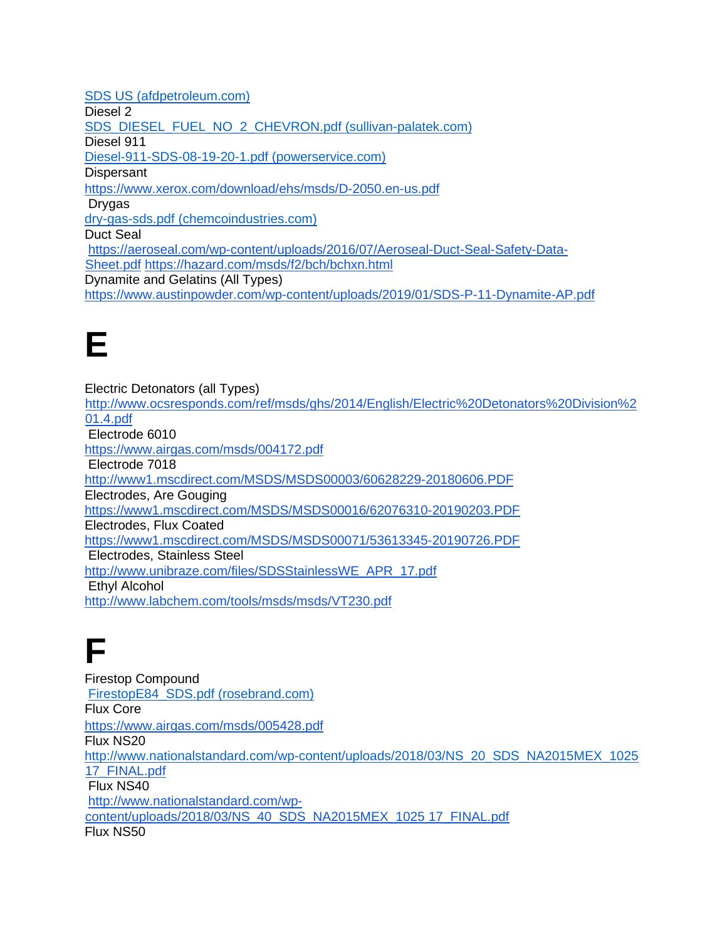[SDS US \(afdpetroleum.com\)](https://afdpetroleum.com/wp-content/uploads/2020/11/55.-DIESEL-NO.-1-PRODUCT-SDS.pdf) Diesel 2 [SDS\\_DIESEL\\_FUEL\\_NO\\_2\\_CHEVRON.pdf \(sullivan-palatek.com\)](https://www.sullivan-palatek.com/wp-content/uploads/2018/07/SDS_DIESEL_FUEL_NO_2_CHEVRON.pdf) Diesel 911 [Diesel-911-SDS-08-19-20-1.pdf \(powerservice.com\)](https://powerservice.com/wp-content/uploads/2020/08/Diesel-911-SDS-08-19-20-1.pdf) **Dispersant** <https://www.xerox.com/download/ehs/msds/D-2050.en-us.pdf> Drygas [dry-gas-sds.pdf \(chemcoindustries.com\)](https://chemcoindustries.com/MSDS/SDS/dry-gas-sds.pdf) Duct Seal [https://aeroseal.com/wp-content/uploads/2016/07/Aeroseal-Duct-Seal-Safety-Data-](https://aeroseal.com/wp-content/uploads/2016/07/Aeroseal-Duct-Seal-Safety-Data-Sheet.pdf)[Sheet.pdf](https://aeroseal.com/wp-content/uploads/2016/07/Aeroseal-Duct-Seal-Safety-Data-Sheet.pdf) <https://hazard.com/msds/f2/bch/bchxn.html> Dynamite and Gelatins (All Types) <https://www.austinpowder.com/wp-content/uploads/2019/01/SDS-P-11-Dynamite-AP.pdf>

#### **E**

Electric Detonators (all Types) [http://www.ocsresponds.com/ref/msds/ghs/2014/English/Electric%20Detonators%20Division%2](http://www.ocsresponds.com/ref/msds/ghs/2014/English/Electric%20Detonators%20Division%201.4.pdf)  [01.4.pdf](http://www.ocsresponds.com/ref/msds/ghs/2014/English/Electric%20Detonators%20Division%201.4.pdf) [E](http://www.ocsresponds.com/ref/msds/ghs/2014/English/Electric%20Detonators%20Division%201.4.pdf)lectrode 6010 <https://www.airgas.com/msds/004172.pdf> Electrode 7018 <http://www1.mscdirect.com/MSDS/MSDS00003/60628229-20180606.PDF> Electrodes, Are Gouging <https://www1.mscdirect.com/MSDS/MSDS00016/62076310-20190203.PDF> Electrodes, Flux Coated <https://www1.mscdirect.com/MSDS/MSDS00071/53613345-20190726.PDF> [E](https://www1.mscdirect.com/MSDS/MSDS00071/53613345-20190726.PDF)lectrodes, Stainless Steel [http://www.unibraze.com/files/SDSStainlessWE\\_APR\\_17.pdf](http://www.unibraze.com/files/SDSStainlessWE_APR_17.pdf) Ethyl Alcohol <http://www.labchem.com/tools/msds/msds/VT230.pdf>

#### **F**

Firestop Compound [FirestopE84\\_SDS.pdf \(rosebrand.com\)](https://www.rosebrand.com/downloads/FirestopE84_SDS.pdf) Flux Core <https://www.airgas.com/msds/005428.pdf> [Flux NS20](http://www.nationalstandard.com/wp-content/uploads/2018/03/NS_20_SDS_NA2015MEX_102517_FINAL.pdf) [http://www.nationalstandard.com/wp-content/uploads/2018/03/NS\\_20\\_SDS\\_NA2015MEX\\_1025](http://www.nationalstandard.com/wp-content/uploads/2018/03/NS_20_SDS_NA2015MEX_1025)  [17\\_FINAL.pdf](http://www.nationalstandard.com/wp-content/uploads/2018/03/NS_20_SDS_NA2015MEX_102517_FINAL.pdf) [Flux NS4](http://www.nationalstandard.com/wp-content/uploads/2018/03/NS_20_SDS_NA2015MEX_102517_FINAL.pdf)0 [http://www.nationalstandard.com/wp](http://www.nationalstandard.com/wp-content/uploads/2018/03/NS_40_SDS_NA2015MEX_102517_FINAL.pdf)[content/uploads/2018/03/NS\\_40\\_SDS\\_NA2015MEX\\_1025 17\\_FINAL.pdf](http://www.nationalstandard.com/wp-content/uploads/2018/03/NS_40_SDS_NA2015MEX_102517_FINAL.pdf) Flux NS50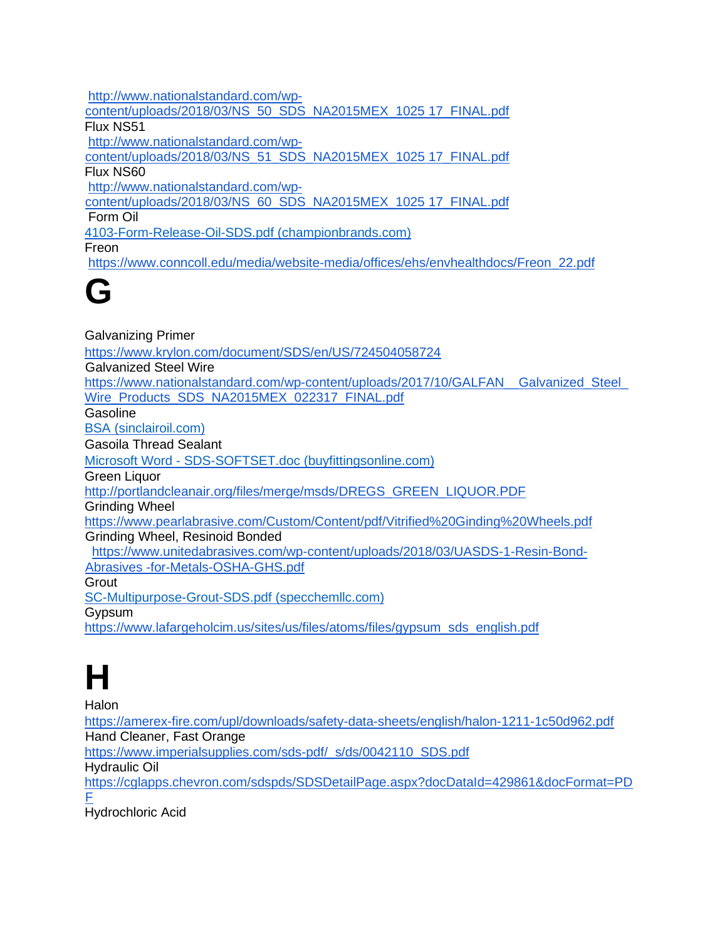[http://www.nationalstandard.com/wp](http://www.nationalstandard.com/wp-content/uploads/2018/03/NS_50_SDS_NA2015MEX_102517_FINAL.pdf)[content/uploads/2018/03/NS\\_50\\_SDS\\_NA2015MEX\\_1025 17\\_FINAL.pdf](http://www.nationalstandard.com/wp-content/uploads/2018/03/NS_50_SDS_NA2015MEX_102517_FINAL.pdf) Flux NS51 [http://www.nationalstandard.com/wp](http://www.nationalstandard.com/wp-content/uploads/2018/03/NS_51_SDS_NA2015MEX_102517_FINAL.pdf)[content/uploads/2018/03/NS\\_51\\_SDS\\_NA2015MEX\\_1025 17\\_FINAL.pdf](http://www.nationalstandard.com/wp-content/uploads/2018/03/NS_51_SDS_NA2015MEX_102517_FINAL.pdf) Flux NS60 [http://www.nationalstandard.com/wp](http://www.nationalstandard.com/wp-content/uploads/2018/03/NS_60_SDS_NA2015MEX_102517_FINAL.pdf)[content/uploads/2018/03/NS\\_60\\_SDS\\_NA2015MEX\\_1025 17\\_FINAL.pdf](http://www.nationalstandard.com/wp-content/uploads/2018/03/NS_60_SDS_NA2015MEX_102517_FINAL.pdf) Form Oil [4103-Form-Release-Oil-SDS.pdf \(championbrands.com\)](https://www.championbrands.com/wp-content/uploads/2020/01/4103-Form-Release-Oil-SDS.pdf) Freon [https://www.conncoll.edu/media/website-media/offices/ehs/envhealthdocs/Freon\\_22.pdf](https://www.conncoll.edu/media/website-media/offices/ehs/envhealthdocs/Freon_22.pdf)

#### **G**

Galvanizing Primer <https://www.krylon.com/document/SDS/en/US/724504058724> Galvanized Steel Wire [https://www.nationalstandard.com/wp-content/uploads/2017/10/GALFAN\\_\\_Galvanized\\_Steel\\_](https://www.nationalstandard.com/wp-content/uploads/2017/10/GALFAN__Galvanized_Steel_Wire_Products_SDS_NA2015MEX_022317_FINAL.pdf) [Wire\\_Products\\_SDS\\_NA2015MEX\\_022317\\_FINAL.pdf](https://www.nationalstandard.com/wp-content/uploads/2017/10/GALFAN__Galvanized_Steel_Wire_Products_SDS_NA2015MEX_022317_FINAL.pdf) Gasoline [BSA \(sinclairoil.com\)](https://www.sinclairoil.com/sites/default/files/MSDS.Fuels_.Gasoline.pdf) Gasoila Thread Sealant Microsoft Word - [SDS-SOFTSET.doc \(buyfittingsonline.com\)](https://www.buyfittingsonline.com/content/MSDS-SOFT-SET-GASOILA-PTFE-THREAD-SEALANT.pdf) Green Liquor [http://portlandcleanair.org/files/merge/msds/DREGS\\_GREEN\\_LIQUOR.PDF](http://portlandcleanair.org/files/merge/msds/DREGS_GREEN_LIQUOR.PDF) Grinding Wheel <https://www.pearlabrasive.com/Custom/Content/pdf/Vitrified%20Ginding%20Wheels.pdf> Grinding Wheel, Resinoid Bonded [https://www.unitedabrasives.com/wp-content/uploads/2018/03/UASDS-1-Resin-Bond-](https://www.unitedabrasives.com/wp-content/uploads/2018/03/UASDS-1-Resin-Bond-Abrasives-for-Metals-OSHA-GHS.pdf)[Abrasives -for-Metals-OSHA-GHS.pdf](https://www.unitedabrasives.com/wp-content/uploads/2018/03/UASDS-1-Resin-Bond-Abrasives-for-Metals-OSHA-GHS.pdf) **Grout** [SC-Multipurpose-Grout-SDS.pdf \(specchemllc.com\)](https://www.specchemllc.com/wp-content/uploads/2015/05/SC-Multipurpose-Grout-SDS.pdf) **G**ypsum

[https://www.lafargeholcim.us/sites/us/files/atoms/files/gypsum\\_sds\\_english.pdf](https://www.lafargeholcim.us/sites/us/files/atoms/files/gypsum_sds_english.pdf)

# **H**

Halon

<https://amerex-fire.com/upl/downloads/safety-data-sheets/english/halon-1211-1c50d962.pdf> Hand Cleaner, Fast Orange [https://www.imperialsupplies.com/sds-pdf/\\_s/ds/0042110\\_SDS.pdf](https://www.imperialsupplies.com/sds-pdf/_s/ds/0042110_SDS.pdf) Hydraulic Oil [https://cglapps.chevron.com/sdspds/SDSDetailPage.aspx?docDataId=429861&docFormat=PD](https://cglapps.chevron.com/sdspds/SDSDetailPage.aspx?docDataId=429861&docFormat=PDF)  [F](https://cglapps.chevron.com/sdspds/SDSDetailPage.aspx?docDataId=429861&docFormat=PDF) Hydrochloric Acid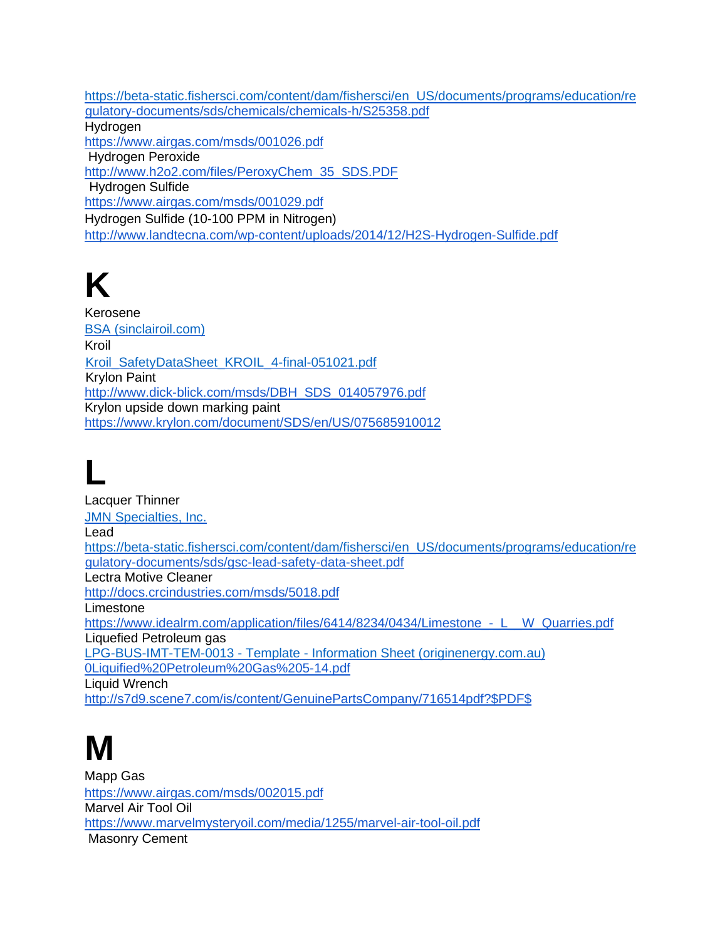[https://beta-static.fishersci.com/content/dam/fishersci/en\\_US/documents/programs/education/re](https://beta-static.fishersci.com/content/dam/fishersci/en_US/documents/programs/education/re)  [gulatory-documents/sds/chemicals/chemicals-h/S25358.pdf](https://beta-static.fishersci.com/content/dam/fishersci/en_US/documents/programs/education/regulatory-documents/sds/chemicals/chemicals-h/S25358.pdf) **Hydrogen** <https://www.airgas.com/msds/001026.pdf> Hydrogen Peroxide [http://www.h2o2.com/files/PeroxyChem\\_35\\_SDS.PDF](http://www.h2o2.com/files/PeroxyChem_35_SDS.PDF) Hydrogen Sulfide <https://www.airgas.com/msds/001029.pdf> Hydrogen Sulfide (10-100 PPM in Nitrogen) <http://www.landtecna.com/wp-content/uploads/2014/12/H2S-Hydrogen-Sulfide.pdf>

# **K**

Kerosene [BSA \(sinclairoil.com\)](https://www.sinclairoil.com/sites/default/files/MSDS.Fuels_.Kerosene.pdf) Kroil [Kroil\\_SafetyDataSheet\\_KROIL\\_4-final-051021.pdf](https://www.kroil.com/wp-content/uploads/2021/07/Kroil_SafetyDataSheet_KROIL_4-final-051021.pdf) Krylon Paint [http://www.dick-blick.com/msds/DBH\\_SDS\\_014057976.pdf](http://www.dick-blick.com/msds/DBH_SDS_014057976.pdf) Krylon upside down marking paint <https://www.krylon.com/document/SDS/en/US/075685910012>

# **L**

Lacquer Thinner [JMN Specialties, Inc.](https://jmnspecialties.com/downloads/sds/2240-lacquer-thinner-sds/file) Lead [https://beta-static.fishersci.com/content/dam/fishersci/en\\_US/documents/programs/education/re](https://beta-static.fishersci.com/content/dam/fishersci/en_US/documents/programs/education/re)  [gulatory-documents/sds/gsc-lead-safety-data-sheet.pdf](https://beta-static.fishersci.com/content/dam/fishersci/en_US/documents/programs/education/regulatory-documents/sds/gsc-lead-safety-data-sheet.pdf) Lectra Motive Cleaner <http://docs.crcindustries.com/msds/5018.pdf> Limestone https://www.idealrm.com/application/files/6414/8234/0434/Limestone - L W Quarries.pdf Liquefied Petroleum gas LPG-BUS-IMT-TEM-0013 - Template - [Information Sheet \(originenergy.com.au\)](https://www.originenergy.com.au/content/dam/origin/lpg/LPG-BUS-HST-IST-0007%20-%20Information%20Sheet%20-%20Safety%20Data%20Sheet%20-%20Liquefied%20Petroleum%20Gas%20(LPG)%20-%20Final.pdf) [0Liquified%20Petroleum%20Gas%205-14.pdf](https://www.valero.com/en-us/Documents/OSHA_GHS_SDS/SDS%20US%20-%20306-GHS%20Liquified%20Petroleum%20Gas%205-14.pdf) Liquid Wrench [http://s7d9.scene7.com/is/content/GenuinePartsCompany/716514pdf?\\$PDF\\$](http://s7d9.scene7.com/is/content/GenuinePartsCompany/716514pdf?$PDF$)

### **M**

Mapp Gas <https://www.airgas.com/msds/002015.pdf> Marvel Air Tool Oil <https://www.marvelmysteryoil.com/media/1255/marvel-air-tool-oil.pdf> [M](https://www.marvelmysteryoil.com/media/1255/marvel-air-tool-oil.pdf)asonry Cement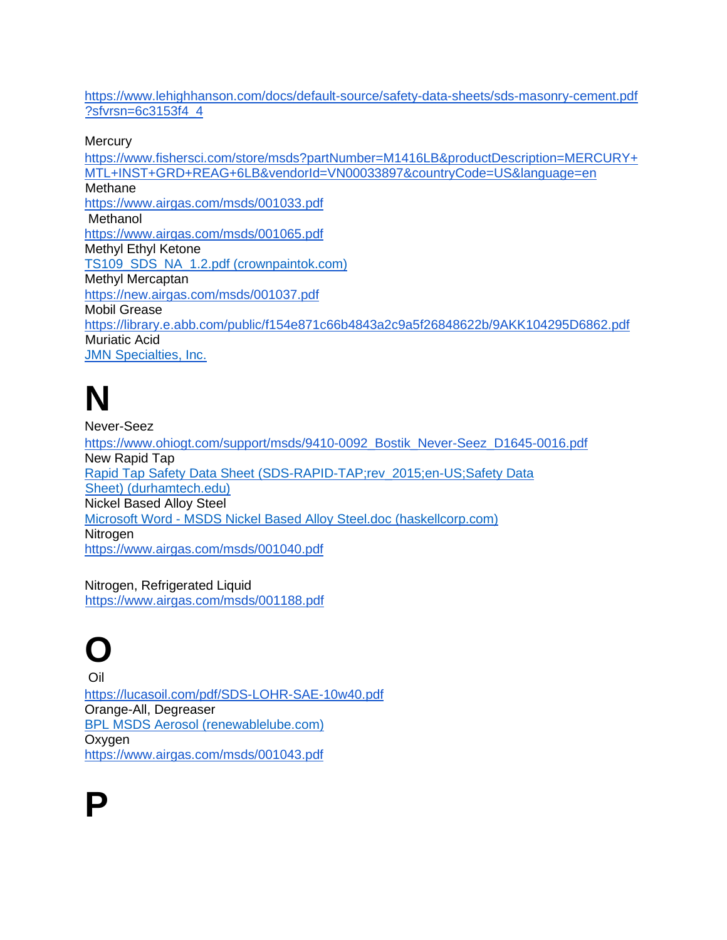[https://www.lehighhanson.com/docs/default-source/safety-data-sheets/sds-masonry-cement.pdf](https://www.lehighhanson.com/docs/default-source/safety-data-sheets/sds-masonry-cement.pdf?sfvrsn=6c3153f4_4)  [?sfvrsn=6c3153f4\\_4](https://www.lehighhanson.com/docs/default-source/safety-data-sheets/sds-masonry-cement.pdf?sfvrsn=6c3153f4_4) 

**Mercury** 

[https://www.fishersci.com/store/msds?partNumber=M1416LB&productDescription=MERCURY+](https://www.fishersci.com/store/msds?partNumber=M1416LB&productDescription=MERCURY+MTL+INST+GRD+REAG+6LB&vendorId=VN00033897&countryCode=US&language=en) [MTL+INST+GRD+REAG+6LB&vendorId=VN00033897&countryCode=US&language=en](https://www.fishersci.com/store/msds?partNumber=M1416LB&productDescription=MERCURY+MTL+INST+GRD+REAG+6LB&vendorId=VN00033897&countryCode=US&language=en) Methane <https://www.airgas.com/msds/001033.pdf> Methanol <https://www.airgas.com/msds/001065.pdf> Methyl Ethyl Ketone [TS109\\_SDS\\_NA\\_1.2.pdf \(crownpaintok.com\)](https://crownpaintok.com/wp-content/uploads/SDS/TS109_SDS_NA_1.2.pdf) Methyl Mercaptan <https://new.airgas.com/msds/001037.pdf> Mobil Grease <https://library.e.abb.com/public/f154e871c66b4843a2c9a5f26848622b/9AKK104295D6862.pdf> Muriatic Acid [JMN Specialties, Inc.](https://www.jmnspecialties.com/downloads/sds/2730-muriatic-acid-15-sds/file)

**N** 

Never-Seez [https://www.ohiogt.com/support/msds/9410-0092\\_Bostik\\_Never-Seez\\_D1645-0016.pdf](https://www.ohiogt.com/support/msds/9410-0092_Bostik_Never-Seez_D1645-0016.pdf) New Rapid Tap [Rapid Tap Safety Data Sheet \(SDS-RAPID-TAP;rev\\_2015;en-US;Safety Data](https://www.durhamtech.edu/sites/default/files/safety_data_sheets/Machine-Shop/Rapid%20Tap%20cutting%20oil%20casR-RapidTap%20SDS.PDF)  [Sheet\) \(durhamtech.edu\)](https://www.durhamtech.edu/sites/default/files/safety_data_sheets/Machine-Shop/Rapid%20Tap%20cutting%20oil%20casR-RapidTap%20SDS.PDF) Nickel Based Alloy Steel Microsoft Word - [MSDS Nickel Based Alloy Steel.doc \(haskellcorp.com\)](http://www.haskellcorp.com/SDS/metals/nickel%20steel.pdf) **Nitrogen** <https://www.airgas.com/msds/001040.pdf>

Nitrogen, Refrigerated Liquid <https://www.airgas.com/msds/001188.pdf>

# **O**

Oil <https://lucasoil.com/pdf/SDS-LOHR-SAE-10w40.pdf> Orange-All, Degreaser [BPL MSDS Aerosol \(renewablelube.com\)](https://renewablelube.com/assets/files/sds/86641-86642-86643-86644-86645-86646-86647-Bio-Soy-Orange-All-Purpose-Degreaser-Cleaner-SDS-2.pdf) **Oxvgen** <https://www.airgas.com/msds/001043.pdf>

**P**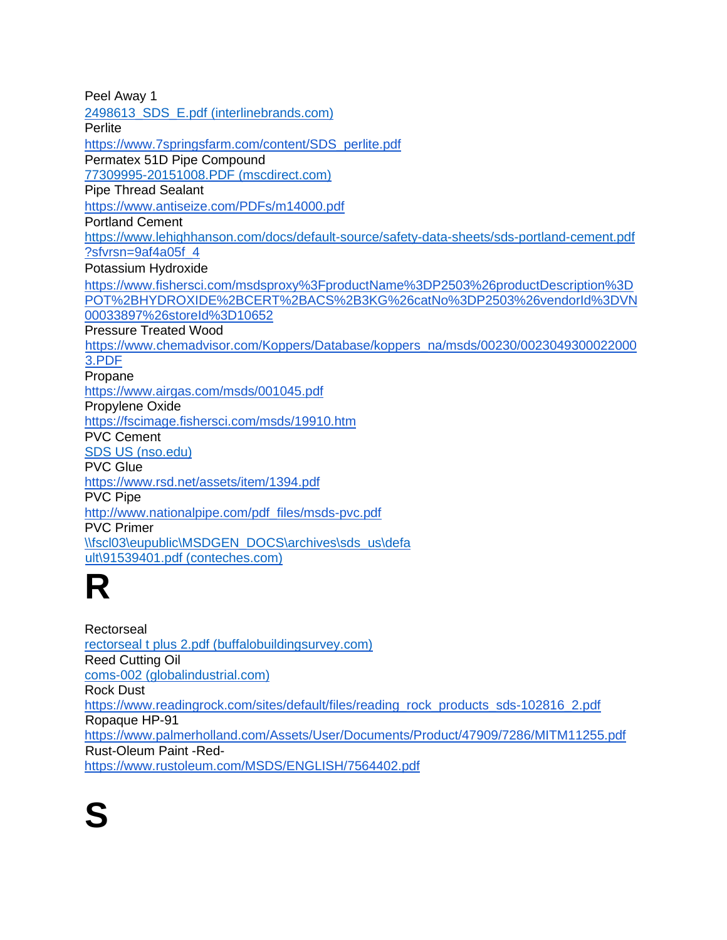| Peel Away 1                                                                                 |
|---------------------------------------------------------------------------------------------|
| 2498613 SDS E.pdf (interlinebrands.com)                                                     |
| Perlite                                                                                     |
| https://www.7springsfarm.com/content/SDS_perlite.pdf                                        |
| Permatex 51D Pipe Compound                                                                  |
| 77309995-20151008.PDF (mscdirect.com)                                                       |
| <b>Pipe Thread Sealant</b>                                                                  |
| https://www.antiseize.com/PDFs/m14000.pdf                                                   |
| <b>Portland Cement</b>                                                                      |
| https://www.lehighhanson.com/docs/default-source/safety-data-sheets/sds-portland-cement.pdf |
| ?sfvrsn=9af4a05f4                                                                           |
| Potassium Hydroxide                                                                         |
| https://www.fishersci.com/msdsproxy%3FproductName%3DP2503%26productDescription%3D           |
| POT%2BHYDROXIDE%2BCERT%2BACS%2B3KG%26catNo%3DP2503%26vendorId%3DVN                          |
| 00033897%26storeId%3D10652                                                                  |
| <b>Pressure Treated Wood</b>                                                                |
| https://www.chemadvisor.com/Koppers/Database/koppers_na/msds/00230/0023049300022000         |
| 3.PDF                                                                                       |
| Propane                                                                                     |
| https://www.airgas.com/msds/001045.pdf                                                      |
| Propylene Oxide                                                                             |
| https://fscimage.fishersci.com/msds/19910.htm                                               |
| <b>PVC Cement</b>                                                                           |
| SDS US (nso.edu)                                                                            |
| <b>PVC Glue</b>                                                                             |
| https://www.rsd.net/assets/item/1394.pdf                                                    |
| <b>PVC Pipe</b>                                                                             |
| http://www.nationalpipe.com/pdf_files/msds-pvc.pdf                                          |
| <b>PVC Primer</b>                                                                           |
| \\fscl03\eupublic\MSDGEN_DOCS\archives\sds_us\defa                                          |
| ult\91539401.pdf (conteches.com)                                                            |
|                                                                                             |

**Rectorseal** [rectorseal t plus 2.pdf \(buffalobuildingsurvey.com\)](http://buffalobuildingsurvey.com/msds/rectorseal%20t%20plus%202.pdf) Reed Cutting Oil [coms-002 \(globalindustrial.com\)](https://www.globalindustrial.com/site/images/comstarsds/1063.pdf) Rock Dust [https://www.readingrock.com/sites/default/files/reading\\_rock\\_products\\_sds-102816\\_2.pdf](https://www.readingrock.com/sites/default/files/reading_rock_products_sds-102816_2.pdf) Ropaque HP-91 <https://www.palmerholland.com/Assets/User/Documents/Product/47909/7286/MITM11255.pdf> Rust-Oleum Paint -Red<https://www.rustoleum.com/MSDS/ENGLISH/7564402.pdf>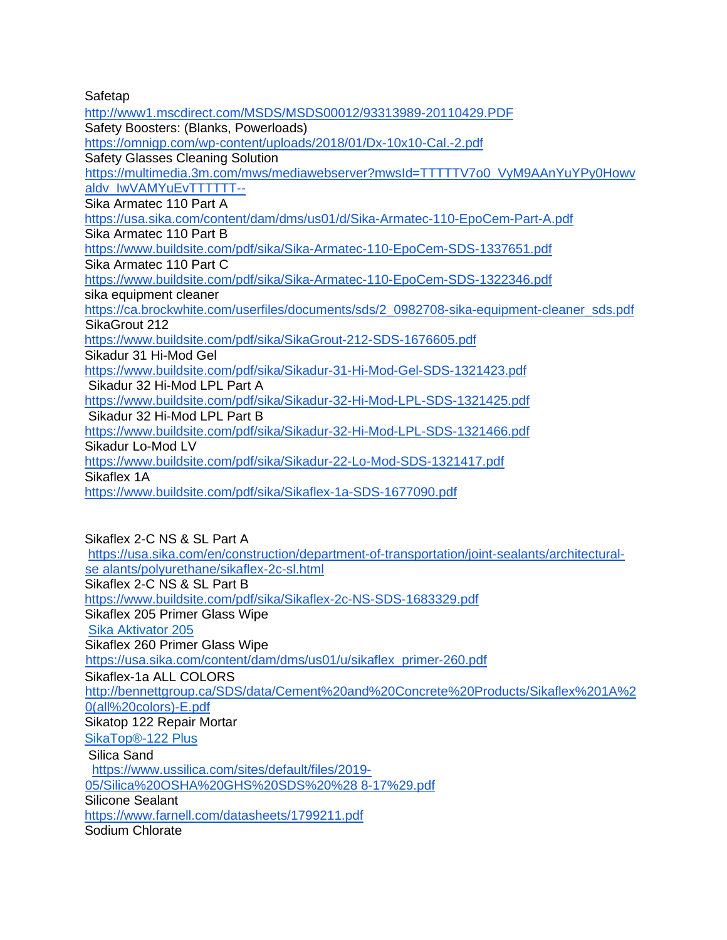Safetap

<http://www1.mscdirect.com/MSDS/MSDS00012/93313989-20110429.PDF> Safety Boosters: (Blanks, Powerloads) <https://omnigp.com/wp-content/uploads/2018/01/Dx-10x10-Cal.-2.pdf> Safety Glasses Cleaning Solution [https://multimedia.3m.com/mws/mediawebserver?mwsId=TTTTTV7o0\\_VyM9AAnYuYPy0Howv](https://multimedia.3m.com/mws/mediawebserver?mwsId=TTTTTV7o0_VyM9AAnYuYPy0Howvaldv_IwVAMYuEvTTTTTT--)  [aldv\\_IwVAMYuEvTTTTTT--](https://multimedia.3m.com/mws/mediawebserver?mwsId=TTTTTV7o0_VyM9AAnYuYPy0Howvaldv_IwVAMYuEvTTTTTT--) Sika Armatec 110 Part A <https://usa.sika.com/content/dam/dms/us01/d/Sika-Armatec-110-EpoCem-Part-A.pdf> Sika Armatec 110 Part B <https://www.buildsite.com/pdf/sika/Sika-Armatec-110-EpoCem-SDS-1337651.pdf> Sika Armatec 110 Part C <https://www.buildsite.com/pdf/sika/Sika-Armatec-110-EpoCem-SDS-1322346.pdf> sika equipment cleaner [https://ca.brockwhite.com/userfiles/documents/sds/2\\_0982708-sika-equipment-cleaner\\_sds.pdf](https://ca.brockwhite.com/userfiles/documents/sds/2_0982708-sika-equipment-cleaner_sds.pdf) SikaGrout 212 <https://www.buildsite.com/pdf/sika/SikaGrout-212-SDS-1676605.pdf> Sikadur 31 Hi-Mod Gel <https://www.buildsite.com/pdf/sika/Sikadur-31-Hi-Mod-Gel-SDS-1321423.pdf> Sikadur 32 Hi-Mod LPL Part A <https://www.buildsite.com/pdf/sika/Sikadur-32-Hi-Mod-LPL-SDS-1321425.pdf> Sikadur 32 Hi-Mod LPL Part B <https://www.buildsite.com/pdf/sika/Sikadur-32-Hi-Mod-LPL-SDS-1321466.pdf> Sikadur Lo-Mod LV <https://www.buildsite.com/pdf/sika/Sikadur-22-Lo-Mod-SDS-1321417.pdf> Sikaflex 1A <https://www.buildsite.com/pdf/sika/Sikaflex-1a-SDS-1677090.pdf>

Sikaflex 2-C NS & SL Part A [https://usa.sika.com/en/construction/department-of-transportation/joint-sealants/architectural](https://usa.sika.com/en/construction/department-of-transportation/joint-sealants/architectural-sealants/polyurethane/sikaflex-2c-sl.html)[se alants/polyurethane/sikaflex-2c-sl.html](https://usa.sika.com/en/construction/department-of-transportation/joint-sealants/architectural-sealants/polyurethane/sikaflex-2c-sl.html) Sikaflex 2-C NS & SL Part B <https://www.buildsite.com/pdf/sika/Sikaflex-2c-NS-SDS-1683329.pdf> Sikaflex 205 Primer Glass Wipe [Sika Aktivator 205](https://aus.sika.com/content/dam/dms/au01/6/Sika%20Aktivator%20205%20SDS.pdf) Sikaflex 260 Primer Glass Wipe https://usa.sika.com/content/dam/dms/us01/u/sikaflex\_primer-260.pdf Sikaflex-1a ALL COLORS [http://bennettgroup.ca/SDS/data/Cement%20and%20Concrete%20Products/Sikaflex%201A%2](http://bennettgroup.ca/SDS/data/Cement%20and%20Concrete%20Products/Sikaflex%201A%20(all%20colors)-E.pdf)  [0\(all%20colors\)-E.pdf](http://bennettgroup.ca/SDS/data/Cement%20and%20Concrete%20Products/Sikaflex%201A%20(all%20colors)-E.pdf) Sikatop 122 Repair Mortar [SikaTop®-122 Plus](https://usa.sika.com/content/dam/dms/us01/m/sikatop_-122_plus.pdf) [S](https://www.buildsite.com/pdf/sika/SikaTop-122-PLUS-SDS-1322104.pdf)ilica Sand [https://www.ussilica.com/sites/default/files/2019-](https://www.ussilica.com/sites/default/files/2019-05/Silica%20OSHA%20GHS%20SDS%20%288-17%29.pdf) [05/Silica%20OSHA%20GHS%20SDS%20%28 8-17%29.pdf](https://www.ussilica.com/sites/default/files/2019-05/Silica%20OSHA%20GHS%20SDS%20%288-17%29.pdf) Silicone Sealant <https://www.farnell.com/datasheets/1799211.pdf> Sodium Chlorate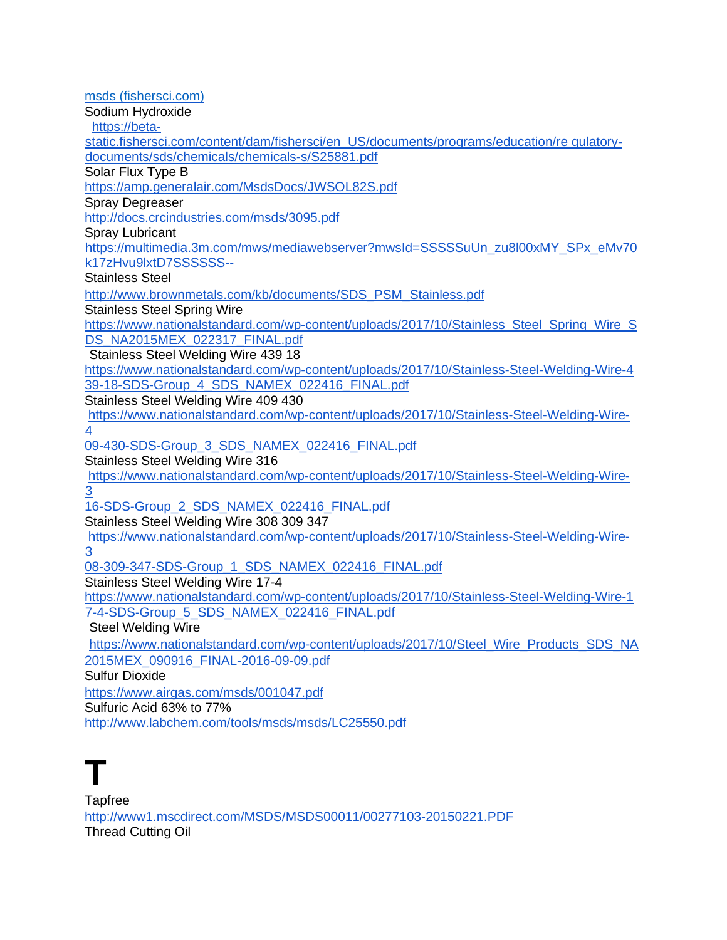[msds \(fishersci.com\)](https://www.fishersci.com/store/msds?partNumber=AC223235000&productDescription=SODIUM+CHLORITE%2C+TECH.%2C+500GR&vendorId=VN00033901&countryCode=US&language=en) Sodium Hydroxide [https://beta](https://beta-static.fishersci.com/content/dam/fishersci/en_US/documents/programs/education/regulatory-documents/sds/chemicals/chemicals-s/S25881.pdf)[static.fishersci.com/content/dam/fishersci/en\\_US/documents/programs/education/re gulatory](https://beta-static.fishersci.com/content/dam/fishersci/en_US/documents/programs/education/regulatory-documents/sds/chemicals/chemicals-s/S25881.pdf)[documents/sds/chemicals/chemicals-s/S25881.pdf](https://beta-static.fishersci.com/content/dam/fishersci/en_US/documents/programs/education/regulatory-documents/sds/chemicals/chemicals-s/S25881.pdf) Solar Flux Type B <https://amp.generalair.com/MsdsDocs/JWSOL82S.pdf> Spray Degreaser <http://docs.crcindustries.com/msds/3095.pdf> Spray Lubricant [https://multimedia.3m.com/mws/mediawebserver?mwsId=SSSSSuUn\\_zu8l00xMY\\_SPx\\_eMv70](https://multimedia.3m.com/mws/mediawebserver?mwsId=SSSSSuUn_zu8l00xMY_SPx_eMv70k17zHvu9lxtD7SSSSSS--)  [k17zHvu9lxtD7SSSSSS--](https://multimedia.3m.com/mws/mediawebserver?mwsId=SSSSSuUn_zu8l00xMY_SPx_eMv70k17zHvu9lxtD7SSSSSS--) Stainless Steel [http://www.brownmetals.com/kb/documents/SDS\\_PSM\\_Stainless.pdf](http://www.brownmetals.com/kb/documents/SDS_PSM_Stainless.pdf) Stainless Steel Spring Wire [https://www.nationalstandard.com/wp-content/uploads/2017/10/Stainless\\_Steel\\_Spring\\_Wire\\_S](https://www.nationalstandard.com/wp-content/uploads/2017/10/Stainless_Steel_Spring_Wire_SDS_NA2015MEX_022317_FINAL.pdf)  [DS\\_NA2015MEX\\_022317\\_FINAL.pdf](https://www.nationalstandard.com/wp-content/uploads/2017/10/Stainless_Steel_Spring_Wire_SDS_NA2015MEX_022317_FINAL.pdf) [Stainless Steel Welding Wire 4](https://www.nationalstandard.com/wp-content/uploads/2017/10/Stainless-Steel-Welding-Wire-439-18-SDS-Group_4_SDS_NAMEX_022416_FINAL.pdf)39 18 [https://www.nationalstandard.com/wp-content/uploads/2017/10/Stainless-Steel-Welding-Wire-4](https://www.nationalstandard.com/wp-content/uploads/2017/10/Stainless-Steel-Welding-Wire-439-18-SDS-Group_4_SDS_NAMEX_022416_FINAL.pdf) [39-18-SDS-Group\\_4\\_SDS\\_NAMEX\\_022416\\_FINAL.pdf](https://www.nationalstandard.com/wp-content/uploads/2017/10/Stainless-Steel-Welding-Wire-439-18-SDS-Group_4_SDS_NAMEX_022416_FINAL.pdf) Stainless Steel Welding Wire 409 430 [https://www.nationalstandard.com/wp-content/uploads/2017/10/Stainless-Steel-Welding-Wire-](https://www.nationalstandard.com/wp-content/uploads/2017/10/Stainless-Steel-Welding-Wire-409-430-SDS-Group_3_SDS_NAMEX_022416_FINAL.pdf)[4](https://www.nationalstandard.com/wp-content/uploads/2017/10/Stainless-Steel-Welding-Wire-409-430-SDS-Group_3_SDS_NAMEX_022416_FINAL.pdf) [09-430-SDS-Group\\_3\\_SDS\\_NAMEX\\_022416\\_FINAL.pdf](https://www.nationalstandard.com/wp-content/uploads/2017/10/Stainless-Steel-Welding-Wire-409-430-SDS-Group_3_SDS_NAMEX_022416_FINAL.pdf) Stainless Steel Welding Wire 316 [https://www.nationalstandard.com/wp-content/uploads/2017/10/Stainless-Steel-Welding-Wire-](https://www.nationalstandard.com/wp-content/uploads/2017/10/Stainless-Steel-Welding-Wire-316-SDS-Group_2_SDS_NAMEX_022416_FINAL.pdf)[3](https://www.nationalstandard.com/wp-content/uploads/2017/10/Stainless-Steel-Welding-Wire-316-SDS-Group_2_SDS_NAMEX_022416_FINAL.pdf) [16-SDS-Group\\_2\\_SDS\\_NAMEX\\_022416\\_FINAL.pdf](https://www.nationalstandard.com/wp-content/uploads/2017/10/Stainless-Steel-Welding-Wire-316-SDS-Group_2_SDS_NAMEX_022416_FINAL.pdf) Stainless Steel Welding Wire 308 309 347 [https://www.nationalstandard.com/wp-content/uploads/2017/10/Stainless-Steel-Welding-Wire-](https://www.nationalstandard.com/wp-content/uploads/2017/10/Stainless-Steel-Welding-Wire-308-309-347-SDS-Group_1_SDS_NAMEX_022416_FINAL.pdf)[3](https://www.nationalstandard.com/wp-content/uploads/2017/10/Stainless-Steel-Welding-Wire-308-309-347-SDS-Group_1_SDS_NAMEX_022416_FINAL.pdf) [08-309-347-SDS-Group\\_1\\_SDS\\_NAMEX\\_022416\\_FINAL.pdf](https://www.nationalstandard.com/wp-content/uploads/2017/10/Stainless-Steel-Welding-Wire-308-309-347-SDS-Group_1_SDS_NAMEX_022416_FINAL.pdf) Stainless Steel Welding Wire 17-4 [https://www.nationalstandard.com/wp-content/uploads/2017/10/Stainless-Steel-Welding-Wire-1](https://www.nationalstandard.com/wp-content/uploads/2017/10/Stainless-Steel-Welding-Wire-17-4-SDS-Group_5_SDS_NAMEX_022416_FINAL.pdf)  [7-4-SDS-Group\\_5\\_SDS\\_NAMEX\\_022416\\_FINAL.pdf](https://www.nationalstandard.com/wp-content/uploads/2017/10/Stainless-Steel-Welding-Wire-17-4-SDS-Group_5_SDS_NAMEX_022416_FINAL.pdf) Steel Welding Wire [https://www.nationalstandard.com/wp-content/uploads/2017/10/Steel\\_Wire\\_Products\\_SDS\\_NA](https://www.nationalstandard.com/wp-content/uploads/2017/10/Steel_Wire_Products_SDS_NA2015MEX_090916_FINAL-2016-09-09.pdf) [2015MEX\\_090916\\_FINAL-2016-09-09.pdf](https://www.nationalstandard.com/wp-content/uploads/2017/10/Steel_Wire_Products_SDS_NA2015MEX_090916_FINAL-2016-09-09.pdf) Sulfur Dioxide <https://www.airgas.com/msds/001047.pdf> Sulfuric Acid 63% to 77% <http://www.labchem.com/tools/msds/msds/LC25550.pdf>

### **T**

**Tapfree** <http://www1.mscdirect.com/MSDS/MSDS00011/00277103-20150221.PDF> Thread Cutting Oil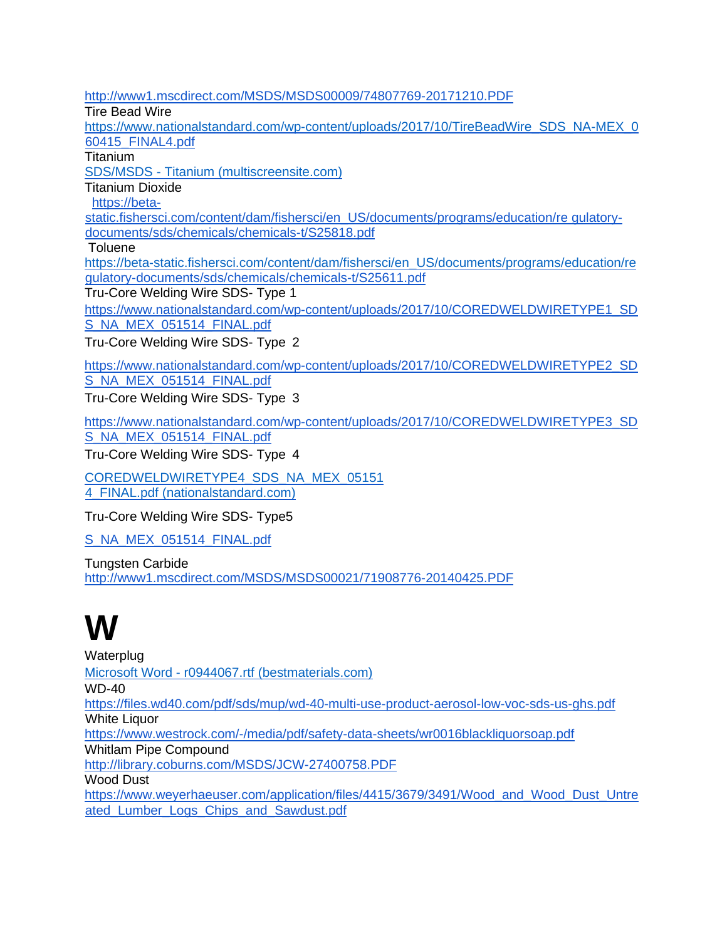<http://www1.mscdirect.com/MSDS/MSDS00009/74807769-20171210.PDF> Tire Bead Wire [https://www.nationalstandard.com/wp-content/uploads/2017/10/TireBeadWire\\_SDS\\_NA-MEX\\_0](https://www.nationalstandard.com/wp-content/uploads/2017/10/TireBeadWire_SDS_NA-MEX_0)  [60415\\_FINAL4.pdf](https://www.nationalstandard.com/wp-content/uploads/2017/10/TireBeadWire_SDS_NA-MEX_060415_FINAL4.pdf) **Titanium** SDS/MSDS - [Titanium \(multiscreensite.com\)](https://irp-cdn.multiscreensite.com/46cb8fc8/files/uploaded/rs-metals-sds-msds-titanium-final.pdf) Titanium Dioxide [https://beta](https://beta-static.fishersci.com/content/dam/fishersci/en_US/documents/programs/education/regulatory-documents/sds/chemicals/chemicals-t/S25818.pdf)[static.fishersci.com/content/dam/fishersci/en\\_US/documents/programs/education/re gulatory](https://beta-static.fishersci.com/content/dam/fishersci/en_US/documents/programs/education/regulatory-documents/sds/chemicals/chemicals-t/S25818.pdf)[documents/sds/chemicals/chemicals-t/S25818.pdf](https://beta-static.fishersci.com/content/dam/fishersci/en_US/documents/programs/education/regulatory-documents/sds/chemicals/chemicals-t/S25818.pdf) Toluene [https://beta-static.fishersci.com/content/dam/fishersci/en\\_US/documents/programs/education/re](https://beta-static.fishersci.com/content/dam/fishersci/en_US/documents/programs/education/re)  [gulatory-documents/sds/chemicals/chemicals-t/S25611.pdf](https://beta-static.fishersci.com/content/dam/fishersci/en_US/documents/programs/education/regulatory-documents/sds/chemicals/chemicals-t/S25611.pdf) [Tru-Core Welding Wire SDS-](https://www.nationalstandard.com/wp-content/uploads/2017/10/COREDWELDWIRETYPE1_SDS_NA_MEX_051514_FINAL.pdf) Type [1](https://www.nationalstandard.com/wp-content/uploads/2017/10/COREDWELDWIRETYPE1_SDS_NA_MEX_051514_FINAL.pdf) [https://www.nationalstandard.com/wp-content/uploads/2017/10/COREDWELDWIRETYPE1\\_SD](https://www.nationalstandard.com/wp-content/uploads/2017/10/COREDWELDWIRETYPE1_SDS_NA_MEX_051514_FINAL.pdf) [S\\_NA\\_MEX\\_051514\\_FINAL.pdf](https://www.nationalstandard.com/wp-content/uploads/2017/10/COREDWELDWIRETYPE1_SDS_NA_MEX_051514_FINAL.pdf) [Tru-Core Welding Wire SDS-](https://www.nationalstandard.com/wp-content/uploads/2017/10/COREDWELDWIRETYPE1_SDS_NA_MEX_051514_FINAL.pdf) Typ[e](https://www.nationalstandard.com/wp-content/uploads/2017/10/COREDWELDWIRETYPE1_SDS_NA_MEX_051514_FINAL.pdf) 2 [https://www.nationalstandard.com/wp-content/uploads/2017/10/COREDWELDWIRETYPE2\\_SD](https://www.nationalstandard.com/wp-content/uploads/2017/10/COREDWELDWIRETYPE2_SDS_NA_MEX_051514_FINAL.pdf) [S\\_NA\\_MEX\\_051514\\_FINAL.pdf](https://www.nationalstandard.com/wp-content/uploads/2017/10/COREDWELDWIRETYPE2_SDS_NA_MEX_051514_FINAL.pdf) [Tru-Core Welding Wire SDS-](https://www.nationalstandard.com/wp-content/uploads/2017/10/COREDWELDWIRETYPE1_SDS_NA_MEX_051514_FINAL.pdf) Typ[e](https://www.nationalstandard.com/wp-content/uploads/2017/10/COREDWELDWIRETYPE1_SDS_NA_MEX_051514_FINAL.pdf) 3

[https://www.nationalstandard.com/wp-content/uploads/2017/10/COREDWELDWIRETYPE3\\_SD](https://www.nationalstandard.com/wp-content/uploads/2017/10/COREDWELDWIRETYPE3_SDS_NA_MEX_051514_FINAL.pdf) [S\\_NA\\_MEX\\_051514\\_FINAL.pdf](https://www.nationalstandard.com/wp-content/uploads/2017/10/COREDWELDWIRETYPE3_SDS_NA_MEX_051514_FINAL.pdf)

[Tru-Core Welding Wire SDS-](https://www.nationalstandard.com/wp-content/uploads/2017/10/COREDWELDWIRETYPE1_SDS_NA_MEX_051514_FINAL.pdf) Typ[e](https://www.nationalstandard.com/wp-content/uploads/2017/10/COREDWELDWIRETYPE1_SDS_NA_MEX_051514_FINAL.pdf) 4

[COREDWELDWIRETYPE4\\_SDS\\_NA\\_MEX\\_05151](https://www.nationalstandard.com/wp-content/uploads/2017/10/COREDWELDWIRETYPE4_SDS_NA_MEX_051514_FINAL.pdf) [4\\_FINAL.pdf \(nationalstandard.com\)](https://www.nationalstandard.com/wp-content/uploads/2017/10/COREDWELDWIRETYPE4_SDS_NA_MEX_051514_FINAL.pdf)

[Tru-Core Welding Wire SDS-](https://www.nationalstandard.com/wp-content/uploads/2017/10/COREDWELDWIRETYPE1_SDS_NA_MEX_051514_FINAL.pdf) Type5

[S\\_NA\\_MEX\\_051514\\_FINAL.pdf](https://www.nationalstandard.com/wp-content/uploads/2017/10/COREDWELDWIRETYPE5_SDS_NA_MEX_051514_FINAL.pdf)

Tungsten Carbide <http://www1.mscdirect.com/MSDS/MSDS00021/71908776-20140425.PDF>

#### **W**

**Waterplug** Microsoft Word - [r0944067.rtf \(bestmaterials.com\)](https://www.bestmaterials.com/PDF_MSDS/WATERPLUG.PDF)  WD-40 <https://files.wd40.com/pdf/sds/mup/wd-40-multi-use-product-aerosol-low-voc-sds-us-ghs.pdf> White Liquor <https://www.westrock.com/-/media/pdf/safety-data-sheets/wr0016blackliquorsoap.pdf> Whitlam Pipe Compound <http://library.coburns.com/MSDS/JCW-27400758.PDF> Wood Dust [https://www.weyerhaeuser.com/application/files/4415/3679/3491/Wood\\_and\\_Wood\\_Dust\\_Untre](https://www.weyerhaeuser.com/application/files/4415/3679/3491/Wood_and_Wood_Dust_Untreated_Lumber_Logs_Chips_and_Sawdust.pdf)  [ated\\_Lumber\\_Logs\\_Chips\\_and\\_Sawdust.pdf](https://www.weyerhaeuser.com/application/files/4415/3679/3491/Wood_and_Wood_Dust_Untreated_Lumber_Logs_Chips_and_Sawdust.pdf)